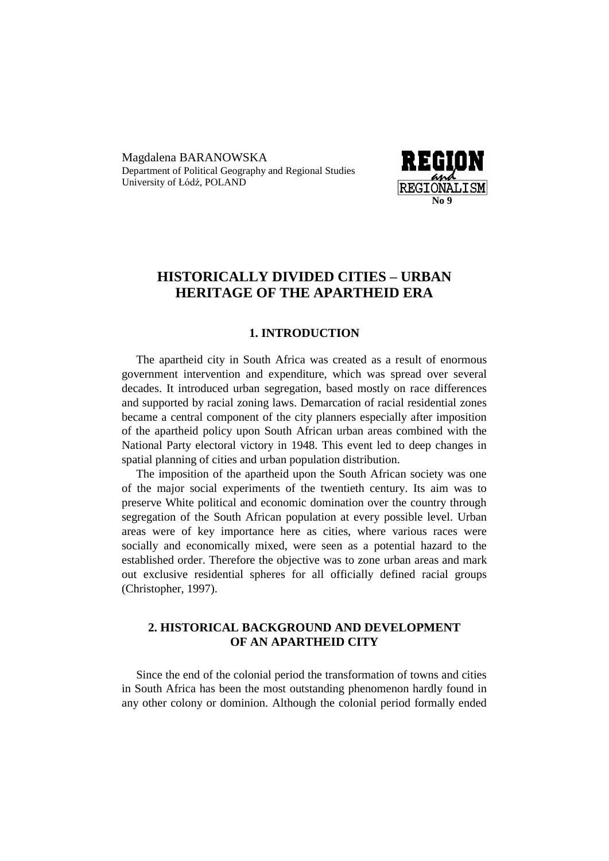Magdalena BARANOWSKA Department of Political Geography and Regional Studies University of Łódź, POLAND



# **HISTORICALLY DIVIDED CITIES – URBAN HERITAGE OF THE APARTHEID ERA**

#### **1. INTRODUCTION**

The apartheid city in South Africa was created as a result of enormous government intervention and expenditure, which was spread over several decades. It introduced urban segregation, based mostly on race differences and supported by racial zoning laws. Demarcation of racial residential zones became a central component of the city planners especially after imposition of the apartheid policy upon South African urban areas combined with the National Party electoral victory in 1948. This event led to deep changes in spatial planning of cities and urban population distribution.

The imposition of the apartheid upon the South African society was one of the major social experiments of the twentieth century. Its aim was to preserve White political and economic domination over the country through segregation of the South African population at every possible level. Urban areas were of key importance here as cities, where various races were socially and economically mixed, were seen as a potential hazard to the established order. Therefore the objective was to zone urban areas and mark out exclusive residential spheres for all officially defined racial groups (Christopher, 1997).

### **2. HISTORICAL BACKGROUND AND DEVELOPMENT OF AN APARTHEID CITY**

Since the end of the colonial period the transformation of towns and cities in South Africa has been the most outstanding phenomenon hardly found in any other colony or dominion. Although the colonial period formally ended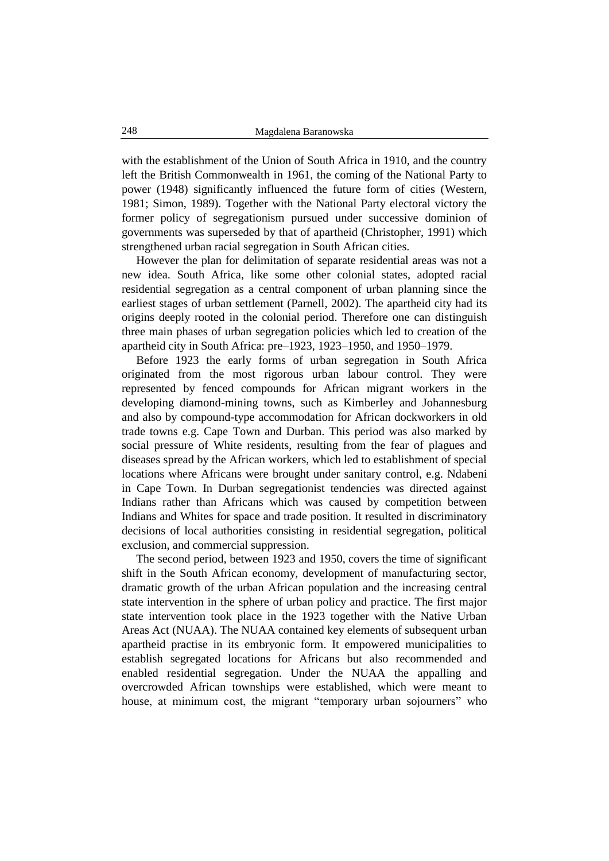with the establishment of the Union of South Africa in 1910, and the country left the British Commonwealth in 1961, the coming of the National Party to power (1948) significantly influenced the future form of cities (Western, 1981; Simon, 1989). Together with the National Party electoral victory the former policy of segregationism pursued under successive dominion of governments was superseded by that of apartheid (Christopher, 1991) which strengthened urban racial segregation in South African cities.

However the plan for delimitation of separate residential areas was not a new idea. South Africa, like some other colonial states, adopted racial residential segregation as a central component of urban planning since the earliest stages of urban settlement (Parnell, 2002). The apartheid city had its origins deeply rooted in the colonial period. Therefore one can distinguish three main phases of urban segregation policies which led to creation of the apartheid city in South Africa: pre–1923, 1923–1950, and 1950–1979.

Before 1923 the early forms of urban segregation in South Africa originated from the most rigorous urban labour control. They were represented by fenced compounds for African migrant workers in the developing diamond-mining towns, such as Kimberley and Johannesburg and also by compound-type accommodation for African dockworkers in old trade towns e.g. Cape Town and Durban. This period was also marked by social pressure of White residents, resulting from the fear of plagues and diseases spread by the African workers, which led to establishment of special locations where Africans were brought under sanitary control, e.g. Ndabeni in Cape Town. In Durban segregationist tendencies was directed against Indians rather than Africans which was caused by competition between Indians and Whites for space and trade position. It resulted in discriminatory decisions of local authorities consisting in residential segregation, political exclusion, and commercial suppression.

The second period, between 1923 and 1950, covers the time of significant shift in the South African economy, development of manufacturing sector, dramatic growth of the urban African population and the increasing central state intervention in the sphere of urban policy and practice. The first major state intervention took place in the 1923 together with the Native Urban Areas Act (NUAA). The NUAA contained key elements of subsequent urban apartheid practise in its embryonic form. It empowered municipalities to establish segregated locations for Africans but also recommended and enabled residential segregation. Under the NUAA the appalling and overcrowded African townships were established, which were meant to house, at minimum cost, the migrant "temporary urban sojourners" who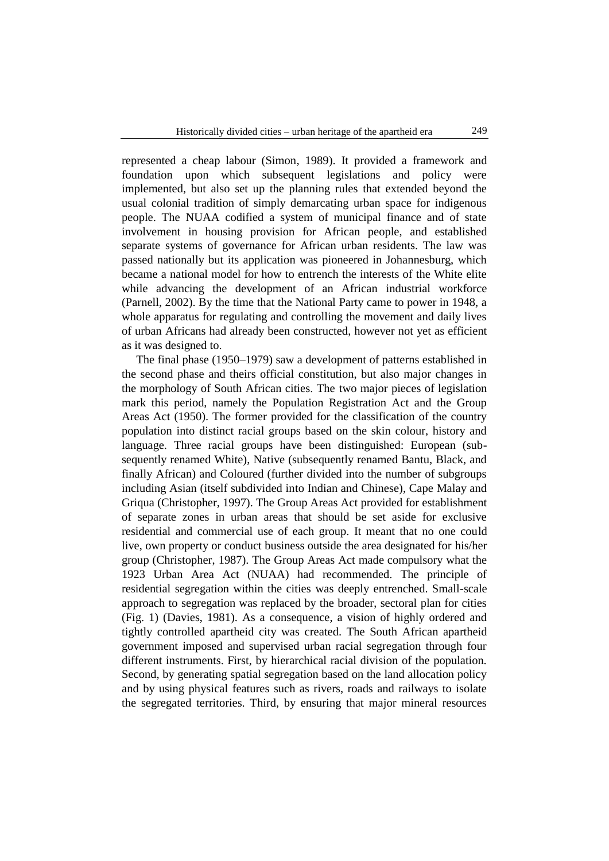represented a cheap labour (Simon, 1989). It provided a framework and foundation upon which subsequent legislations and policy were implemented, but also set up the planning rules that extended beyond the usual colonial tradition of simply demarcating urban space for indigenous people. The NUAA codified a system of municipal finance and of state involvement in housing provision for African people, and established separate systems of governance for African urban residents. The law was passed nationally but its application was pioneered in Johannesburg, which became a national model for how to entrench the interests of the White elite while advancing the development of an African industrial workforce (Parnell, 2002). By the time that the National Party came to power in 1948, a whole apparatus for regulating and controlling the movement and daily lives of urban Africans had already been constructed, however not yet as efficient as it was designed to.

The final phase (1950–1979) saw a development of patterns established in the second phase and theirs official constitution, but also major changes in the morphology of South African cities. The two major pieces of legislation mark this period, namely the Population Registration Act and the Group Areas Act (1950). The former provided for the classification of the country population into distinct racial groups based on the skin colour, history and language. Three racial groups have been distinguished: European (subsequently renamed White), Native (subsequently renamed Bantu, Black, and finally African) and Coloured (further divided into the number of subgroups including Asian (itself subdivided into Indian and Chinese), Cape Malay and Griqua (Christopher, 1997). The Group Areas Act provided for establishment of separate zones in urban areas that should be set aside for exclusive residential and commercial use of each group. It meant that no one could live, own property or conduct business outside the area designated for his/her group (Christopher, 1987). The Group Areas Act made compulsory what the 1923 Urban Area Act (NUAA) had recommended. The principle of residential segregation within the cities was deeply entrenched. Small-scale approach to segregation was replaced by the broader, sectoral plan for cities (Fig. 1) (Davies, 1981). As a consequence, a vision of highly ordered and tightly controlled apartheid city was created. The South African apartheid government imposed and supervised urban racial segregation through four different instruments. First, by hierarchical racial division of the population. Second, by generating spatial segregation based on the land allocation policy and by using physical features such as rivers, roads and railways to isolate the segregated territories. Third, by ensuring that major mineral resources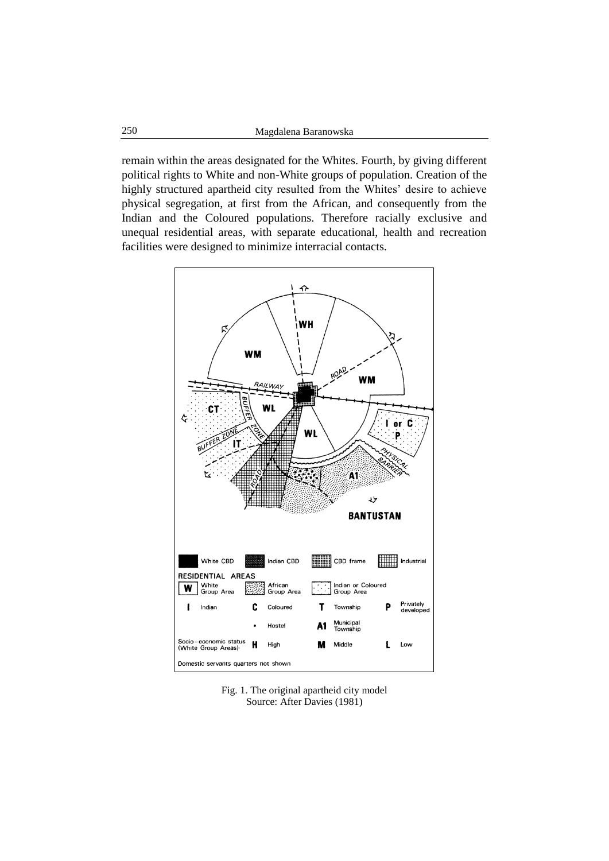remain within the areas designated for the Whites. Fourth, by giving different political rights to White and non-White groups of population. Creation of the highly structured apartheid city resulted from the Whites' desire to achieve physical segregation, at first from the African, and consequently from the Indian and the Coloured populations. Therefore racially exclusive and unequal residential areas, with separate educational, health and recreation facilities were designed to minimize interracial contacts.



Fig. 1. The original apartheid city model Source: After Davies (1981)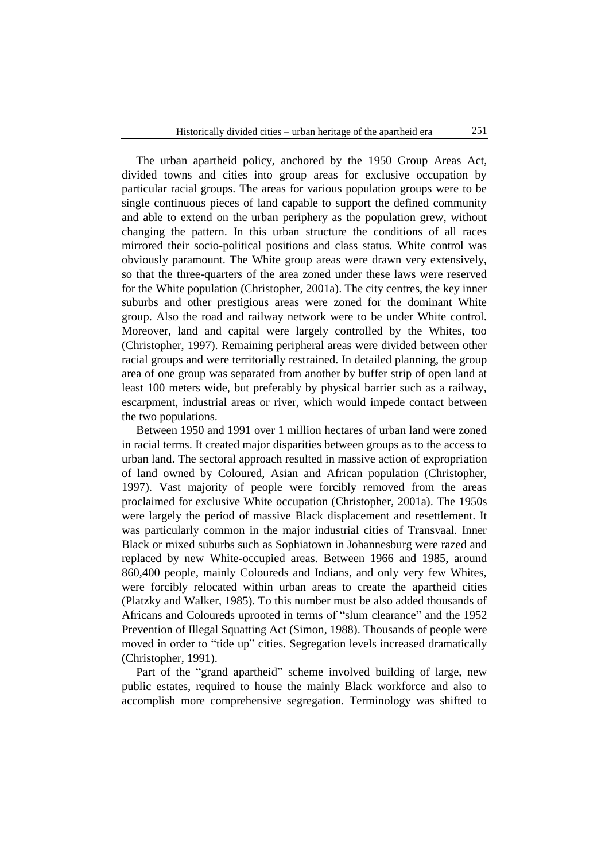The urban apartheid policy, anchored by the 1950 Group Areas Act, divided towns and cities into group areas for exclusive occupation by particular racial groups. The areas for various population groups were to be single continuous pieces of land capable to support the defined community and able to extend on the urban periphery as the population grew, without changing the pattern. In this urban structure the conditions of all races mirrored their socio-political positions and class status. White control was obviously paramount. The White group areas were drawn very extensively, so that the three-quarters of the area zoned under these laws were reserved for the White population (Christopher, 2001a). The city centres, the key inner suburbs and other prestigious areas were zoned for the dominant White group. Also the road and railway network were to be under White control. Moreover, land and capital were largely controlled by the Whites, too (Christopher, 1997). Remaining peripheral areas were divided between other racial groups and were territorially restrained. In detailed planning, the group area of one group was separated from another by buffer strip of open land at least 100 meters wide, but preferably by physical barrier such as a railway, escarpment, industrial areas or river, which would impede contact between the two populations.

Between 1950 and 1991 over 1 million hectares of urban land were zoned in racial terms. It created major disparities between groups as to the access to urban land. The sectoral approach resulted in massive action of expropriation of land owned by Coloured, Asian and African population (Christopher, 1997). Vast majority of people were forcibly removed from the areas proclaimed for exclusive White occupation (Christopher, 2001a). The 1950s were largely the period of massive Black displacement and resettlement. It was particularly common in the major industrial cities of Transvaal. Inner Black or mixed suburbs such as Sophiatown in Johannesburg were razed and replaced by new White-occupied areas. Between 1966 and 1985, around 860,400 people, mainly Coloureds and Indians, and only very few Whites, were forcibly relocated within urban areas to create the apartheid cities (Platzky and Walker, 1985). To this number must be also added thousands of Africans and Coloureds uprooted in terms of "slum clearance" and the 1952 Prevention of Illegal Squatting Act (Simon, 1988). Thousands of people were moved in order to "tide up" cities. Segregation levels increased dramatically (Christopher, 1991).

Part of the "grand apartheid" scheme involved building of large, new public estates, required to house the mainly Black workforce and also to accomplish more comprehensive segregation. Terminology was shifted to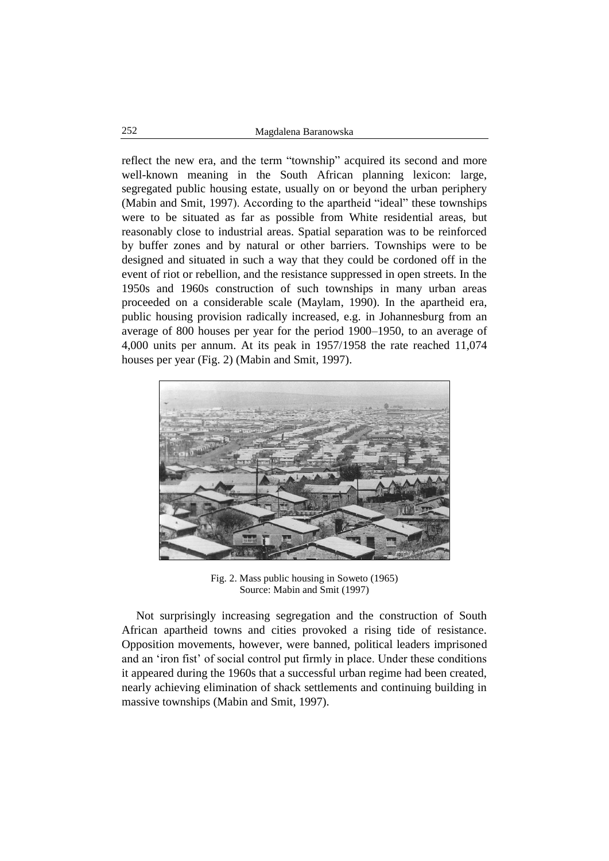reflect the new era, and the term "township" acquired its second and more well-known meaning in the South African planning lexicon: large, segregated public housing estate, usually on or beyond the urban periphery (Mabin and Smit, 1997). According to the apartheid "ideal" these townships were to be situated as far as possible from White residential areas, but reasonably close to industrial areas. Spatial separation was to be reinforced by buffer zones and by natural or other barriers. Townships were to be designed and situated in such a way that they could be cordoned off in the event of riot or rebellion, and the resistance suppressed in open streets. In the 1950s and 1960s construction of such townships in many urban areas proceeded on a considerable scale (Maylam, 1990). In the apartheid era, public housing provision radically increased, e.g. in Johannesburg from an average of 800 houses per year for the period 1900–1950, to an average of 4,000 units per annum. At its peak in 1957/1958 the rate reached 11,074 houses per year (Fig. 2) (Mabin and Smit, 1997).



Fig. 2. Mass public housing in Soweto (1965) Source: Mabin and Smit (1997)

Not surprisingly increasing segregation and the construction of South African apartheid towns and cities provoked a rising tide of resistance. Opposition movements, however, were banned, political leaders imprisoned and an 'iron fist' of social control put firmly in place. Under these conditions it appeared during the 1960s that a successful urban regime had been created, nearly achieving elimination of shack settlements and continuing building in massive townships (Mabin and Smit, 1997).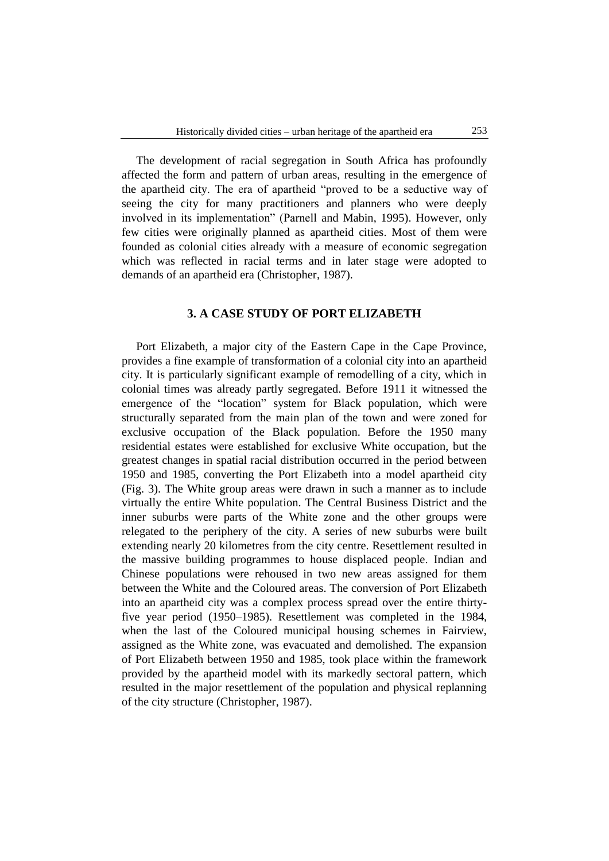The development of racial segregation in South Africa has profoundly affected the form and pattern of urban areas, resulting in the emergence of the apartheid city. The era of apartheid "proved to be a seductive way of seeing the city for many practitioners and planners who were deeply involved in its implementation" (Parnell and Mabin, 1995). However, only few cities were originally planned as apartheid cities. Most of them were founded as colonial cities already with a measure of economic segregation which was reflected in racial terms and in later stage were adopted to demands of an apartheid era (Christopher, 1987).

#### **3. A CASE STUDY OF PORT ELIZABETH**

Port Elizabeth, a major city of the Eastern Cape in the Cape Province, provides a fine example of transformation of a colonial city into an apartheid city. It is particularly significant example of remodelling of a city, which in colonial times was already partly segregated. Before 1911 it witnessed the emergence of the "location" system for Black population, which were structurally separated from the main plan of the town and were zoned for exclusive occupation of the Black population. Before the 1950 many residential estates were established for exclusive White occupation, but the greatest changes in spatial racial distribution occurred in the period between 1950 and 1985, converting the Port Elizabeth into a model apartheid city (Fig. 3). The White group areas were drawn in such a manner as to include virtually the entire White population. The Central Business District and the inner suburbs were parts of the White zone and the other groups were relegated to the periphery of the city. A series of new suburbs were built extending nearly 20 kilometres from the city centre. Resettlement resulted in the massive building programmes to house displaced people. Indian and Chinese populations were rehoused in two new areas assigned for them between the White and the Coloured areas. The conversion of Port Elizabeth into an apartheid city was a complex process spread over the entire thirtyfive year period (1950–1985). Resettlement was completed in the 1984, when the last of the Coloured municipal housing schemes in Fairview, assigned as the White zone, was evacuated and demolished. The expansion of Port Elizabeth between 1950 and 1985, took place within the framework provided by the apartheid model with its markedly sectoral pattern, which resulted in the major resettlement of the population and physical replanning of the city structure (Christopher, 1987).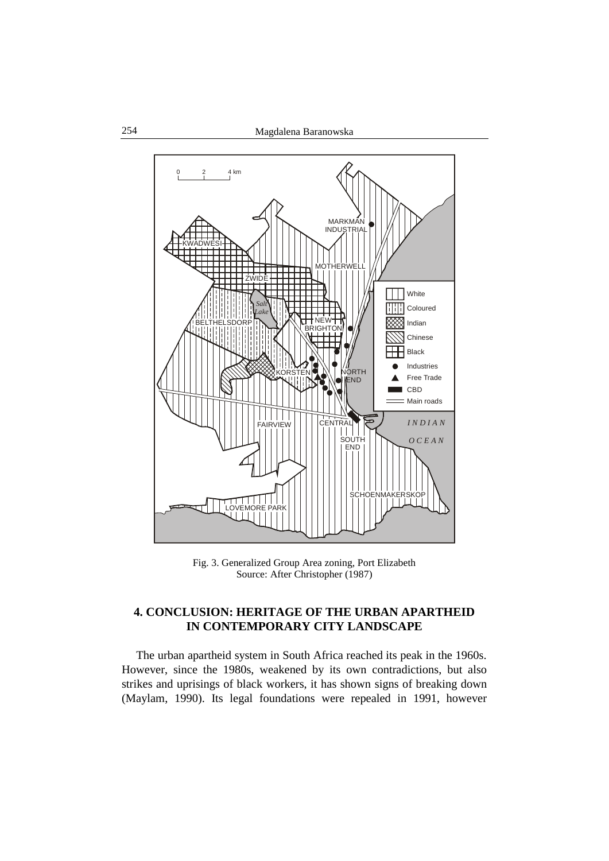![](_page_7_Figure_1.jpeg)

Fig. 3. Generalized Group Area zoning, Port Elizabeth Source: After Christopher (1987)

## **4. CONCLUSION: HERITAGE OF THE URBAN APARTHEID IN CONTEMPORARY CITY LANDSCAPE**

The urban apartheid system in South Africa reached its peak in the 1960s. However, since the 1980s, weakened by its own contradictions, but also strikes and uprisings of black workers, it has shown signs of breaking down (Maylam, 1990). Its legal foundations were repealed in 1991, however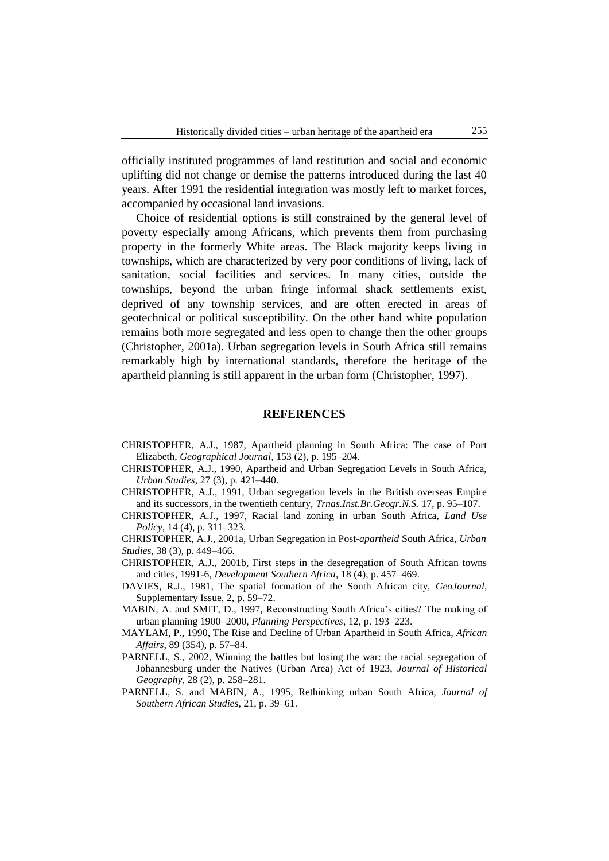officially instituted programmes of land restitution and social and economic uplifting did not change or demise the patterns introduced during the last 40 years. After 1991 the residential integration was mostly left to market forces, accompanied by occasional land invasions.

Choice of residential options is still constrained by the general level of poverty especially among Africans, which prevents them from purchasing property in the formerly White areas. The Black majority keeps living in townships, which are characterized by very poor conditions of living, lack of sanitation, social facilities and services. In many cities, outside the townships, beyond the urban fringe informal shack settlements exist, deprived of any township services, and are often erected in areas of geotechnical or political susceptibility. On the other hand white population remains both more segregated and less open to change then the other groups (Christopher, 2001a). Urban segregation levels in South Africa still remains remarkably high by international standards, therefore the heritage of the apartheid planning is still apparent in the urban form (Christopher, 1997).

#### **REFERENCES**

- CHRISTOPHER, A.J., 1987, Apartheid planning in South Africa: The case of Port Elizabeth, *Geographical Journal*, 153 (2), p. 195–204.
- CHRISTOPHER, A.J., 1990, Apartheid and Urban Segregation Levels in South Africa, *Urban Studies*, 27 (3), p. 421–440.
- CHRISTOPHER, A.J., 1991, Urban segregation levels in the British overseas Empire and its successors, in the twentieth century, *Trnas.Inst.Br.Geogr.N.S.* 17, p. 95–107.
- CHRISTOPHER, A.J., 1997, Racial land zoning in urban South Africa, *Land Use Policy*, 14 (4), p. 311–323.
- CHRISTOPHER, A.J., 2001a, Urban Segregation in Post-*apartheid* South Africa, *Urban Studies*, 38 (3), p. 449–466.
- CHRISTOPHER, A.J., 2001b, First steps in the desegregation of South African towns and cities, 1991-6, *Development Southern Africa*, 18 (4), p. 457–469.
- DAVIES, R.J., 1981, The spatial formation of the South African city, *GeoJournal*, Supplementary Issue, 2, p. 59–72.
- MABIN, A. and SMIT, D., 1997, Reconstructing South Africa's cities? The making of urban planning 1900–2000, *Planning Perspectives*, 12, p. 193–223.
- MAYLAM, P., 1990, The Rise and Decline of Urban Apartheid in South Africa, *African Affairs*, 89 (354), p. 57–84.
- PARNELL, S., 2002, Winning the battles but losing the war: the racial segregation of Johannesburg under the Natives (Urban Area) Act of 1923, *Journal of Historical Geography*, 28 (2), p. 258–281.
- PARNELL, S. and MABIN, A., 1995, Rethinking urban South Africa, *Journal of Southern African Studies*, 21, p. 39–61.